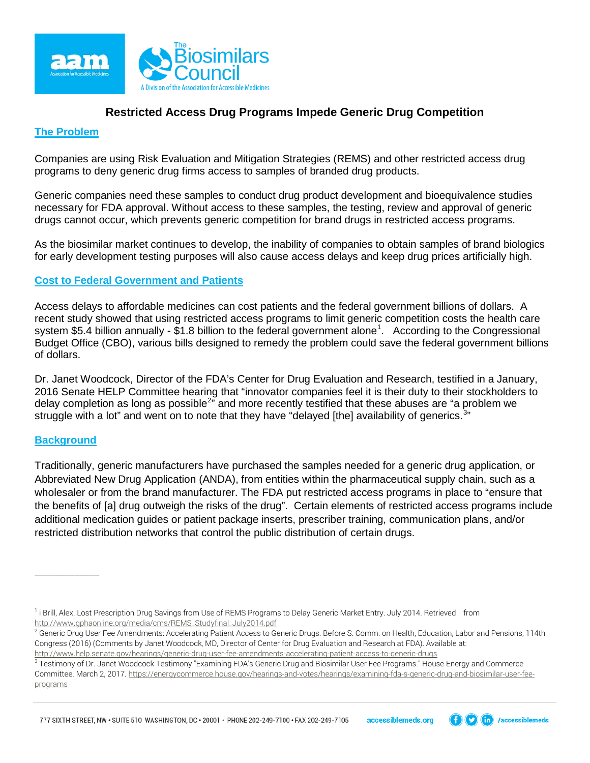

# **Restricted Access Drug Programs Impede Generic Drug Competition**

## **The Problem**

Companies are using Risk Evaluation and Mitigation Strategies (REMS) and other restricted access drug programs to deny generic drug firms access to samples of branded drug products.

Generic companies need these samples to conduct drug product development and bioequivalence studies necessary for FDA approval. Without access to these samples, the testing, review and approval of generic drugs cannot occur, which prevents generic competition for brand drugs in restricted access programs.

As the biosimilar market continues to develop, the inability of companies to obtain samples of brand biologics for early development testing purposes will also cause access delays and keep drug prices artificially high.

### **Cost to Federal Government and Patients**

Access delays to affordable medicines can cost patients and the federal government billions of dollars. A recent study showed that using restricted access programs to limit generic competition costs the health care system \$5.4 billion annually - \$[1](#page-0-0).8 billion to the federal government alone<sup>1</sup>. According to the Congressional Budget Office (CBO), various bills designed to remedy the problem could save the federal government billions of dollars.

Dr. Janet Woodcock, Director of the FDA's Center for Drug Evaluation and Research, testified in a January, 2016 Senate HELP Committee hearing that "innovator companies feel it is their duty to their stockholders to delay completion as long as possible<sup>[2](#page-0-1)</sup>" and more recently testified that these abuses are "a problem we struggle with a lot" and went on to note that they have "delayed [the] availability of generics.<sup>[3](#page-0-2)</sup> "

#### **Background**

\_\_\_\_\_\_\_\_\_\_\_\_\_

Traditionally, generic manufacturers have purchased the samples needed for a generic drug application, or Abbreviated New Drug Application (ANDA), from entities within the pharmaceutical supply chain, such as a wholesaler or from the brand manufacturer. The FDA put restricted access programs in place to "ensure that the benefits of [a] drug outweigh the risks of the drug". Certain elements of restricted access programs include additional medication guides or patient package inserts, prescriber training, communication plans, and/or restricted distribution networks that control the public distribution of certain drugs.

777 SIXTH STREET, NW · SUITE 510 WASHINGTON, DC · 20001 · PHONE 202-249-7100 · FAX 202-249-7105 accessiblemeds.org



<span id="page-0-0"></span><sup>&</sup>lt;sup>1</sup> i Brill, Alex. Lost Prescription Drug Savings from Use of REMS Programs to Delay Generic Market Entry. July 2014. Retrieved from [http://www.gphaonline.org/media/cms/REMS\\_Studyfinal\\_July2014.pdf](http://www.gphaonline.org/media/cms/REMS_Studyfinal_July2014.pdf)

<span id="page-0-1"></span> $^2$  Generic Drug User Fee Amendments: Accelerating Patient Access to Generic Drugs. Before S. Comm. on Health, Education, Labor and Pensions, 114th Congress (2016) (Comments by Janet Woodcock, MD, Director of Center for Drug Evaluation and Research at FDA). Available at:

http://www.help.senate.gov/hearings/generic-drug-user-fee-amendments-accelerating-patient-access-to-generic-drugs<br><sup>3</sup> Testimony of Dr. Janet Woodcock Testimony "Examining FDA's Generic Drug and Biosimilar User Fee Programs

<span id="page-0-2"></span>Committee. March 2, 2017[. https://energycommerce.house.gov/hearings-and-votes/hearings/examining-fda-s-generic-drug-and-biosimilar-user-fee](https://energycommerce.house.gov/hearings-and-votes/hearings/examining-fda-s-generic-drug-and-biosimilar-user-fee-programs)[programs](https://energycommerce.house.gov/hearings-and-votes/hearings/examining-fda-s-generic-drug-and-biosimilar-user-fee-programs)